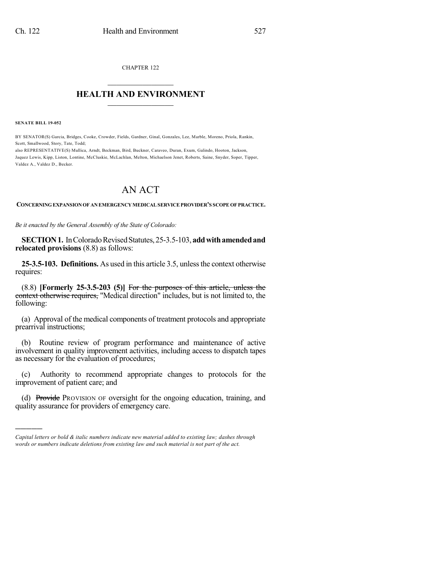CHAPTER 122  $\mathcal{L}_\text{max}$  . The set of the set of the set of the set of the set of the set of the set of the set of the set of the set of the set of the set of the set of the set of the set of the set of the set of the set of the set

## **HEALTH AND ENVIRONMENT**  $\_$

**SENATE BILL 19-052**

)))))

BY SENATOR(S) Garcia, Bridges, Cooke, Crowder, Fields, Gardner, Ginal, Gonzales, Lee, Marble, Moreno, Priola, Rankin, Scott, Smallwood, Story, Tate, Todd;

also REPRESENTATIVE(S) Mullica, Arndt, Beckman, Bird, Buckner, Caraveo, Duran, Exum, Galindo, Hooton, Jackson, Jaquez Lewis, Kipp, Liston, Lontine, McCluskie, McLachlan, Melton, Michaelson Jenet, Roberts, Saine, Snyder, Soper, Tipper, Valdez A., Valdez D., Becker.

## AN ACT

**CONCERNINGEXPANSIONOF AN EMERGENCYMEDICALSERVICEPROVIDER'S SCOPE OF PRACTICE.**

*Be it enacted by the General Assembly of the State of Colorado:*

**SECTION 1.** In Colorado Revised Statutes, 25-3.5-103, add with amended and **relocated provisions** (8.8) as follows:

**25-3.5-103. Definitions.** As used in this article 3.5, unlessthe context otherwise requires:

(8.8) **[Formerly 25-3.5-203 (5)]** For the purposes of this article, unless the context otherwise requires, "Medical direction" includes, but is not limited to, the following:

(a) Approval of the medical components of treatment protocols and appropriate prearrival instructions;

(b) Routine review of program performance and maintenance of active involvement in quality improvement activities, including access to dispatch tapes as necessary for the evaluation of procedures;

(c) Authority to recommend appropriate changes to protocols for the improvement of patient care; and

(d) Provide PROVISION OF oversight for the ongoing education, training, and quality assurance for providers of emergency care.

*Capital letters or bold & italic numbers indicate new material added to existing law; dashes through words or numbers indicate deletions from existing law and such material is not part of the act.*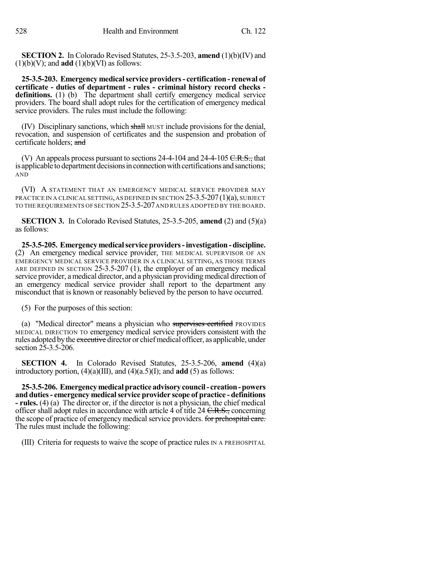**SECTION 2.** In Colorado Revised Statutes, 25-3.5-203, **amend** (1)(b)(IV) and  $(1)(b)(V)$ ; and **add**  $(1)(b)(VI)$  as follows:

**25-3.5-203. Emergency medicalservice providers- certification - renewal of certificate - duties of department - rules - criminal history record checks**  definitions. (1) (b) The department shall certify emergency medical service providers. The board shall adopt rules for the certification of emergency medical service providers. The rules must include the following:

(IV) Disciplinary sanctions, which shall MUST include provisions for the denial, revocation, and suspension of certificates and the suspension and probation of certificate holders; and

(V) An appeals process pursuant to sections  $24-4-104$  and  $24-4-105$  C.R.S., that is applicable to department decisions in connection with certifications and sanctions; AND

(VI) A STATEMENT THAT AN EMERGENCY MEDICAL SERVICE PROVIDER MAY PRACTICE IN A CLINICAL SETTING,AS DEFINED IN SECTION 25-3.5-207(1)(a), SUBJECT TO THE REQUIREMENTS OF SECTION 25-3.5-207AND RULES ADOPTED BY THE BOARD.

**SECTION 3.** In Colorado Revised Statutes, 25-3.5-205, **amend** (2) and (5)(a) as follows:

**25-3.5-205. Emergencymedicalserviceproviders-investigation-discipline.** (2) An emergency medical service provider, THE MEDICAL SUPERVISOR OF AN EMERGENCY MEDICAL SERVICE PROVIDER IN A CLINICAL SETTING, AS THOSE TERMS ARE DEFINED IN SECTION 25-3.5-207 (1), the employer of an emergency medical service provider, a medical director, and a physician providing medical direction of an emergency medical service provider shall report to the department any misconduct that is known or reasonably believed by the person to have occurred.

(5) For the purposes of this section:

(a) "Medical director" means a physician who supervises certified PROVIDES MEDICAL DIRECTION TO emergency medical service providers consistent with the rules adopted by the executive director or chief medical officer, as applicable, under section 25-3.5-206.

**SECTION 4.** In Colorado Revised Statutes, 25-3.5-206, **amend** (4)(a) introductory portion,  $(4)(a)(III)$ , and  $(4)(a.5)(I)$ ; and **add** (5) as follows:

**25-3.5-206. Emergencymedicalpractice advisorycouncil- creation-powers and duties- emergency medicalservice provider scope of practice - definitions - rules.** (4) (a) The director or, if the director is not a physician, the chief medical officer shall adopt rules in accordance with article 4 of title 24  $C.R.S.,$  concerning the scope of practice of emergency medical service providers. For prehospital care. The rules must include the following:

(III) Criteria for requests to waive the scope of practice rules IN A PREHOSPITAL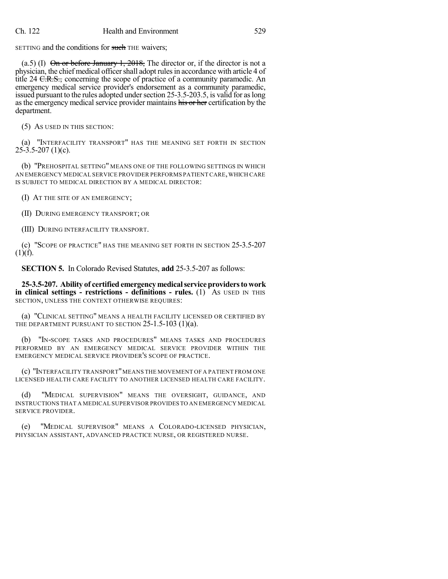SETTING and the conditions for such THE waivers;

(a.5) (I)  $\Theta$  in or before January 1, 2018, The director or, if the director is not a physician, the chief medical officer shall adopt rules in accordance with article 4 of title 24 <del>C.R.S.,</del> concerning the scope of practice of a community paramedic. An emergency medical service provider's endorsement as a community paramedic, issued pursuant to the rules adopted under section 25-3.5-203.5, is valid for as long as the emergency medical service provider maintains his or her certification by the department.

(5) AS USED IN THIS SECTION:

(a) "INTERFACILITY TRANSPORT" HAS THE MEANING SET FORTH IN SECTION  $25 - 3.5 - 207$  (1)(c).

(b) "PREHOSPITAL SETTING" MEANS ONE OF THE FOLLOWING SETTINGS IN WHICH AN EMERGENCY MEDICAL SERVICE PROVIDER PERFORMS PATIENT CARE,WHICH CARE IS SUBJECT TO MEDICAL DIRECTION BY A MEDICAL DIRECTOR:

(I) AT THE SITE OF AN EMERGENCY;

(II) DURING EMERGENCY TRANSPORT; OR

(III) DURING INTERFACILITY TRANSPORT.

(c) "SCOPE OF PRACTICE" HAS THE MEANING SET FORTH IN SECTION 25-3.5-207  $(1)(f)$ .

**SECTION 5.** In Colorado Revised Statutes, **add** 25-3.5-207 as follows:

**25-3.5-207. Ability of certified emergencymedicalservice providersto work in clinical settings - restrictions - definitions - rules.** (1) AS USED IN THIS SECTION, UNLESS THE CONTEXT OTHERWISE REQUIRES:

(a) "CLINICAL SETTING" MEANS A HEALTH FACILITY LICENSED OR CERTIFIED BY THE DEPARTMENT PURSUANT TO SECTION 25-1.5-103 (1)(a).

(b) "IN-SCOPE TASKS AND PROCEDURES" MEANS TASKS AND PROCEDURES PERFORMED BY AN EMERGENCY MEDICAL SERVICE PROVIDER WITHIN THE EMERGENCY MEDICAL SERVICE PROVIDER'S SCOPE OF PRACTICE.

(c) "INTERFACILITY TRANSPORT"MEANS THE MOVEMENT OF A PATIENT FROM ONE LICENSED HEALTH CARE FACILITY TO ANOTHER LICENSED HEALTH CARE FACILITY.

(d) "MEDICAL SUPERVISION" MEANS THE OVERSIGHT, GUIDANCE, AND INSTRUCTIONS THAT A MEDICAL SUPERVISOR PROVIDES TO AN EMERGENCY MEDICAL SERVICE PROVIDER.

(e) "MEDICAL SUPERVISOR" MEANS A COLORADO-LICENSED PHYSICIAN, PHYSICIAN ASSISTANT, ADVANCED PRACTICE NURSE, OR REGISTERED NURSE.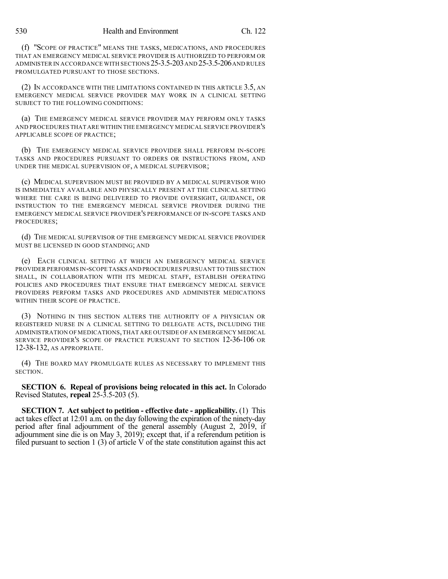(f) "SCOPE OF PRACTICE" MEANS THE TASKS, MEDICATIONS, AND PROCEDURES THAT AN EMERGENCY MEDICAL SERVICE PROVIDER IS AUTHORIZED TO PERFORM OR ADMINISTER IN ACCORDANCE WITH SECTIONS 25-3.5-203AND 25-3.5-206AND RULES PROMULGATED PURSUANT TO THOSE SECTIONS.

(2) IN ACCORDANCE WITH THE LIMITATIONS CONTAINED IN THIS ARTICLE 3.5, AN EMERGENCY MEDICAL SERVICE PROVIDER MAY WORK IN A CLINICAL SETTING SUBJECT TO THE FOLLOWING CONDITIONS:

(a) THE EMERGENCY MEDICAL SERVICE PROVIDER MAY PERFORM ONLY TASKS AND PROCEDURES THAT ARE WITHIN THE EMERGENCY MEDICAL SERVICE PROVIDER'S APPLICABLE SCOPE OF PRACTICE;

(b) THE EMERGENCY MEDICAL SERVICE PROVIDER SHALL PERFORM IN-SCOPE TASKS AND PROCEDURES PURSUANT TO ORDERS OR INSTRUCTIONS FROM, AND UNDER THE MEDICAL SUPERVISION OF, A MEDICAL SUPERVISOR;

(c) MEDICAL SUPERVISION MUST BE PROVIDED BY A MEDICAL SUPERVISOR WHO IS IMMEDIATELY AVAILABLE AND PHYSICALLY PRESENT AT THE CLINICAL SETTING WHERE THE CARE IS BEING DELIVERED TO PROVIDE OVERSIGHT, GUIDANCE, OR INSTRUCTION TO THE EMERGENCY MEDICAL SERVICE PROVIDER DURING THE EMERGENCY MEDICAL SERVICE PROVIDER'S PERFORMANCE OF IN-SCOPE TASKS AND PROCEDURES;

(d) THE MEDICAL SUPERVISOR OF THE EMERGENCY MEDICAL SERVICE PROVIDER MUST BE LICENSED IN GOOD STANDING; AND

(e) EACH CLINICAL SETTING AT WHICH AN EMERGENCY MEDICAL SERVICE PROVIDER PERFORMS IN-SCOPE TASKS AND PROCEDURES PURSUANT TO THIS SECTION SHALL, IN COLLABORATION WITH ITS MEDICAL STAFF, ESTABLISH OPERATING POLICIES AND PROCEDURES THAT ENSURE THAT EMERGENCY MEDICAL SERVICE PROVIDERS PERFORM TASKS AND PROCEDURES AND ADMINISTER MEDICATIONS WITHIN THEIR SCOPE OF PRACTICE.

(3) NOTHING IN THIS SECTION ALTERS THE AUTHORITY OF A PHYSICIAN OR REGISTERED NURSE IN A CLINICAL SETTING TO DELEGATE ACTS, INCLUDING THE ADMINISTRATION OF MEDICATIONS,THAT ARE OUTSIDE OF AN EMERGENCY MEDICAL SERVICE PROVIDER'S SCOPE OF PRACTICE PURSUANT TO SECTION 12-36-106 OR 12-38-132, AS APPROPRIATE.

(4) THE BOARD MAY PROMULGATE RULES AS NECESSARY TO IMPLEMENT THIS SECTION.

**SECTION 6. Repeal of provisions being relocated in this act.** In Colorado Revised Statutes, **repeal** 25-3.5-203 (5).

**SECTION 7. Act subject to petition - effective date - applicability.** (1) This act takes effect at 12:01 a.m. on the day following the expiration of the ninety-day period after final adjournment of the general assembly (August 2, 2019, if adjournment sine die is on May 3, 2019); except that, if a referendum petition is filed pursuant to section 1 (3) of article  $\dot{V}$  of the state constitution against this act